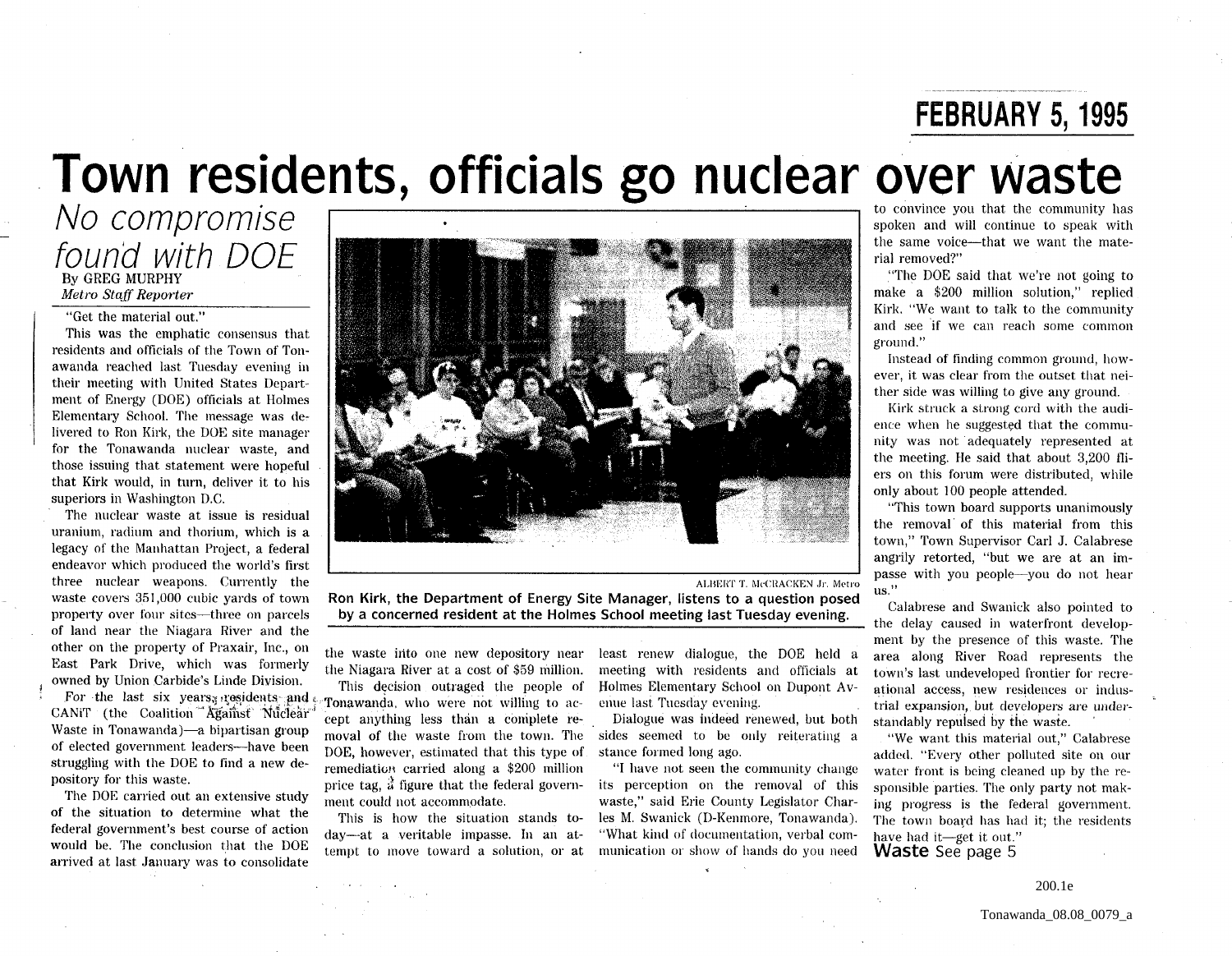**FEBRUARY 5, 1995** 

# **Town residents, officials go nuclear over waste FEBRUARY 5, 1995**<br> **Town residents, officials go nuclear over waste**<br>
No compromise<br>
found with DOE **The Company of the second Consequer Consequer and will continue to speak with<br>
Fax officials and will continue to speak**

*Metro Staff Reporter* 

"Get the material out."

This was the emphatic consensus that residents and officials of the Town of Tonawanda reached last Tuesday evening in their meeting with United States Department of Energy (DOE) officials at Holmes Elementary School. The message was delivered to Ron Kirk, the DOE site manager for the Tonawanda nuclear waste, and those issuing that statement were hopeful that Kirk would, in turn, deliver it to his superiors in Washington D.C.

The nuclear waste at issue is residual uranium, radium and thorium, which is a legacy of the Manhattan Projeet, a federal endeavor which produced the world's first three nuclear weapons. Currently the waste covers 351,000 cubic yards of town property over four sites-three on parcels of land near the Niagara River and the other on the property of Praxair, Inc., on East Park Drive, which was formerly owned by Union Carbide's Linde Division.

For the last six years, residents and CANIT (the Coalition <sup>44</sup> Against Nuclear Waste in Tonawanda)—a bipartisan group of elected government leaders-have been struggling with the DOE to find a new depository for this waste.

The DOE carried out an extensive study of the situation to determine what the federal government's best course of action would be. The conclusion that the DOE arrived at last January was to consolidate



ALBERT T, McCRACKEN Jr, Metro Ron Kirk, the Department of Energy Site Manager, listens to a question posed by a concerned resident at the Holmes School meeting last Tuesday evening.

the waste into one new depository near the Niagara River at a cost of \$59 million.

This decision outraged the people of Tonawanda. who were not willing to accept anything less than a complete removal of the waste from the town. The sides seemed to be only reiterating a DOE, however, estimated that this type of remediation carried along a \$200 million price tag,  $\ddot{\hat{a}}$  figure that the federal government could not accommodate.

This is how the situation stands today-at a veritable impasse. In an attempt to move toward a solution, or at

least renew dialogue, the DOE held a meeting with residents and officials at Holmes Elementary School on Dupont Avenue last Tuesday evening.

Dialogue was indeed renewed, but both stance formed long ago.

"I have not seen the community change its perception on the removal of this waste," said Erie County Legislator Charles M. Swanick (D-Kenmore, Tonawanda). "What kind of documentation, verbal communication or show of hands do you need

rial removed?"

"The DOE said that we're not going to make a \$200 million solution," replied Kirk. "We want to talk to the community and see 'if we can reach some common ground,"

Instead of finding common ground, however, it was clear from the outset that neither side was willing to give any ground.

Kirk struck a strong cord with the audience when he suggested that the community was not' adequately represented at the meeting. He said that about 3,200 fliers on this forum were distributed, while only about 100 people attended.

"This town board supports unanimously the removal' of this material from this town," Town Supervisor Carl J. Calabrese angrily retorted, "but we are at an impasse with you people-you do not hear us."

Calabrese and Swanick also pointed to the delay caused in waterfront development by the presence of this waste. The area along River Road represents the town's last undeveloped frontier for recreational aecess, new residences or industrial expansion, but developers are understandably repulsed by the waste.

"We want this material out," Calabrese added, "Every other polluted site on our water front is being cleaned up by the responsible parties. The only party not making progress is the federal government. The town board has had it; the residents have had it-get it out." Waste See page 5

200.1e